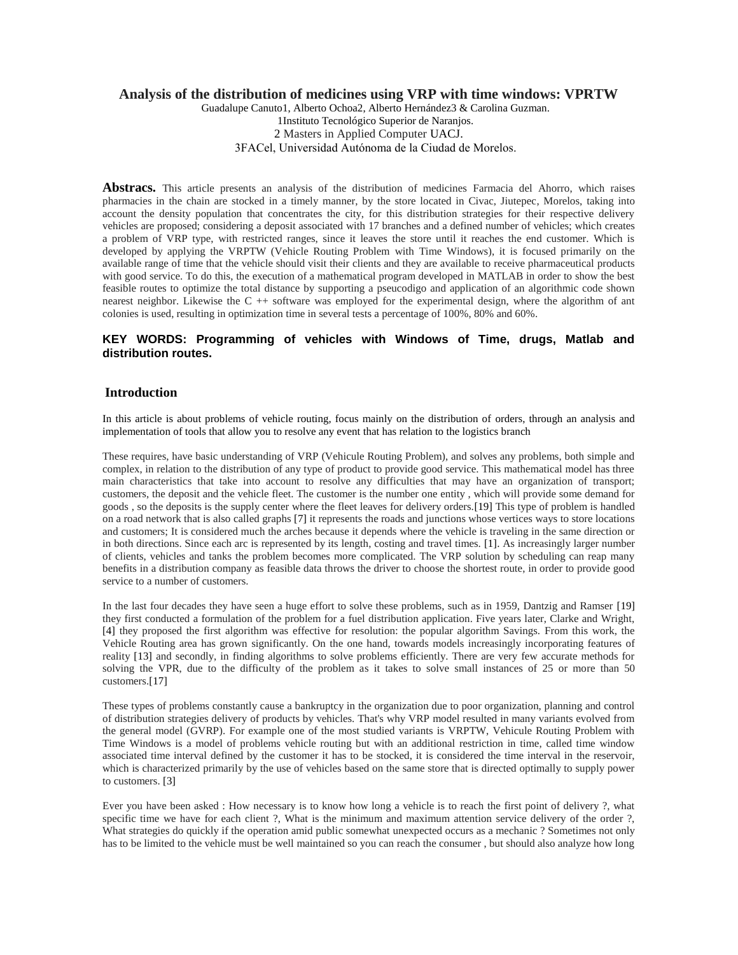### **Analysis of the distribution of medicines using VRP with time windows: VPRTW**

Guadalupe Canuto1, Alberto Ochoa2, Alberto Hernández3 & Carolina Guzman.

1Instituto Tecnológico Superior de Naranjos.

2 Masters in Applied Computer UACJ.

3FACel, Universidad Autónoma de la Ciudad de Morelos.

**Abstracs.** This article presents an analysis of the distribution of medicines Farmacia del Ahorro, which raises pharmacies in the chain are stocked in a timely manner, by the store located in Civac, Jiutepec, Morelos, taking into account the density population that concentrates the city, for this distribution strategies for their respective delivery vehicles are proposed; considering a deposit associated with 17 branches and a defined number of vehicles; which creates a problem of VRP type, with restricted ranges, since it leaves the store until it reaches the end customer. Which is developed by applying the VRPTW (Vehicle Routing Problem with Time Windows), it is focused primarily on the available range of time that the vehicle should visit their clients and they are available to receive pharmaceutical products with good service. To do this, the execution of a mathematical program developed in MATLAB in order to show the best feasible routes to optimize the total distance by supporting a pseucodigo and application of an algorithmic code shown nearest neighbor. Likewise the C ++ software was employed for the experimental design, where the algorithm of ant colonies is used, resulting in optimization time in several tests a percentage of 100%, 80% and 60%.

### **KEY WORDS: Programming of vehicles with Windows of Time, drugs, Matlab and distribution routes.**

#### **Introduction**

In this article is about problems of vehicle routing, focus mainly on the distribution of orders, through an analysis and implementation of tools that allow you to resolve any event that has relation to the logistics branch

These requires, have basic understanding of VRP (Vehicule Routing Problem), and solves any problems, both simple and complex, in relation to the distribution of any type of product to provide good service. This mathematical model has three main characteristics that take into account to resolve any difficulties that may have an organization of transport; customers, the deposit and the vehicle fleet. The customer is the number one entity , which will provide some demand for goods , so the deposits is the supply center where the fleet leaves for delivery orders.[19] This type of problem is handled on a road network that is also called graphs [7] it represents the roads and junctions whose vertices ways to store locations and customers; It is considered much the arches because it depends where the vehicle is traveling in the same direction or in both directions. Since each arc is represented by its length, costing and travel times. [1]. As increasingly larger number of clients, vehicles and tanks the problem becomes more complicated. The VRP solution by scheduling can reap many benefits in a distribution company as feasible data throws the driver to choose the shortest route, in order to provide good service to a number of customers.

In the last four decades they have seen a huge effort to solve these problems, such as in 1959, Dantzig and Ramser [19] they first conducted a formulation of the problem for a fuel distribution application. Five years later, Clarke and Wright, [4] they proposed the first algorithm was effective for resolution: the popular algorithm Savings. From this work, the Vehicle Routing area has grown significantly. On the one hand, towards models increasingly incorporating features of reality [13] and secondly, in finding algorithms to solve problems efficiently. There are very few accurate methods for solving the VPR, due to the difficulty of the problem as it takes to solve small instances of 25 or more than 50 customers.[17]

These types of problems constantly cause a bankruptcy in the organization due to poor organization, planning and control of distribution strategies delivery of products by vehicles. That's why VRP model resulted in many variants evolved from the general model (GVRP). For example one of the most studied variants is VRPTW, Vehicule Routing Problem with Time Windows is a model of problems vehicle routing but with an additional restriction in time, called time window associated time interval defined by the customer it has to be stocked, it is considered the time interval in the reservoir, which is characterized primarily by the use of vehicles based on the same store that is directed optimally to supply power to customers. [3]

Ever you have been asked : How necessary is to know how long a vehicle is to reach the first point of delivery ?, what specific time we have for each client ?, What is the minimum and maximum attention service delivery of the order ?, What strategies do quickly if the operation amid public somewhat unexpected occurs as a mechanic ? Sometimes not only has to be limited to the vehicle must be well maintained so you can reach the consumer , but should also analyze how long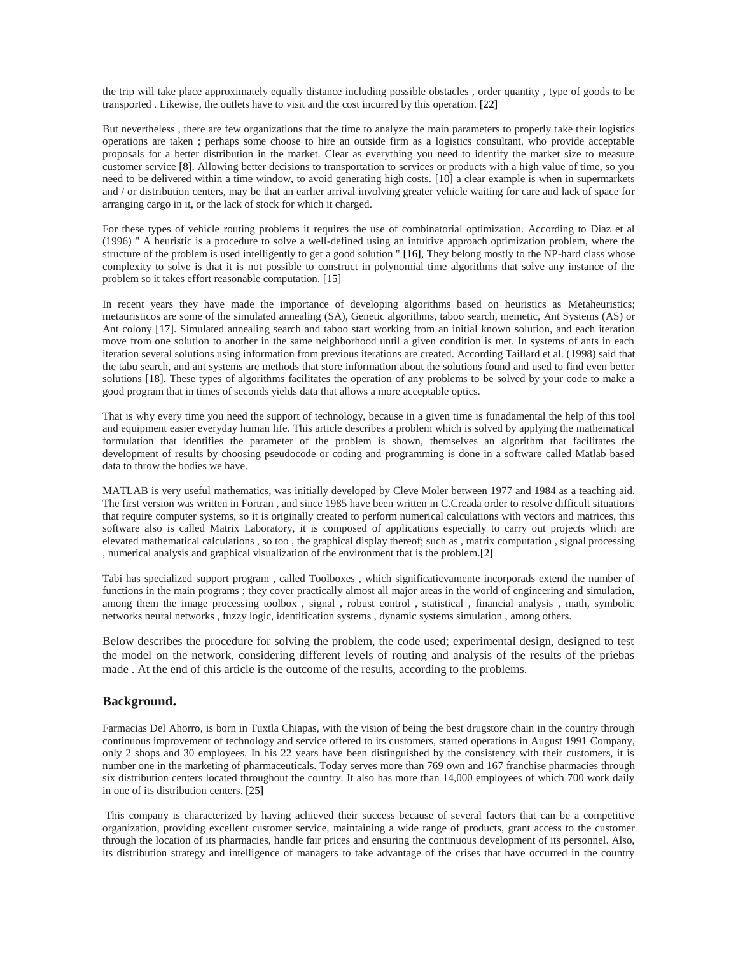the trip will take place approximately equally distance including possible obstacles , order quantity , type of goods to be transported . Likewise, the outlets have to visit and the cost incurred by this operation. [22]

But nevertheless , there are few organizations that the time to analyze the main parameters to properly take their logistics operations are taken ; perhaps some choose to hire an outside firm as a logistics consultant, who provide acceptable proposals for a better distribution in the market. Clear as everything you need to identify the market size to measure customer service [8]. Allowing better decisions to transportation to services or products with a high value of time, so you need to be delivered within a time window, to avoid generating high costs. [10] a clear example is when in supermarkets and / or distribution centers, may be that an earlier arrival involving greater vehicle waiting for care and lack of space for arranging cargo in it, or the lack of stock for which it charged.

For these types of vehicle routing problems it requires the use of combinatorial optimization. According to Diaz et al (1996) " A heuristic is a procedure to solve a well-defined using an intuitive approach optimization problem, where the structure of the problem is used intelligently to get a good solution " [16], They belong mostly to the NP-hard class whose complexity to solve is that it is not possible to construct in polynomial time algorithms that solve any instance of the problem so it takes effort reasonable computation. [15]

In recent years they have made the importance of developing algorithms based on heuristics as Metaheuristics; metauristicos are some of the simulated annealing (SA), Genetic algorithms, taboo search, memetic, Ant Systems (AS) or Ant colony [17]. Simulated annealing search and taboo start working from an initial known solution, and each iteration move from one solution to another in the same neighborhood until a given condition is met. In systems of ants in each iteration several solutions using information from previous iterations are created. According Taillard et al. (1998) said that the tabu search, and ant systems are methods that store information about the solutions found and used to find even better solutions [18]. These types of algorithms facilitates the operation of any problems to be solved by your code to make a good program that in times of seconds yields data that allows a more acceptable optics.

That is why every time you need the support of technology, because in a given time is funadamental the help of this tool and equipment easier everyday human life. This article describes a problem which is solved by applying the mathematical formulation that identifies the parameter of the problem is shown, themselves an algorithm that facilitates the development of results by choosing pseudocode or coding and programming is done in a software called Matlab based data to throw the bodies we have.

MATLAB is very useful mathematics, was initially developed by Cleve Moler between 1977 and 1984 as a teaching aid. The first version was written in Fortran , and since 1985 have been written in C.Creada order to resolve difficult situations that require computer systems, so it is originally created to perform numerical calculations with vectors and matrices, this software also is called Matrix Laboratory, it is composed of applications especially to carry out projects which are elevated mathematical calculations , so too , the graphical display thereof; such as , matrix computation , signal processing , numerical analysis and graphical visualization of the environment that is the problem.[2]

Tabi has specialized support program , called Toolboxes , which significaticvamente incorporads extend the number of functions in the main programs ; they cover practically almost all major areas in the world of engineering and simulation, among them the image processing toolbox , signal , robust control , statistical , financial analysis , math, symbolic networks neural networks , fuzzy logic, identification systems , dynamic systems simulation , among others.

Below describes the procedure for solving the problem, the code used; experimental design, designed to test the model on the network, considering different levels of routing and analysis of the results of the priebas made . At the end of this article is the outcome of the results, according to the problems.

### **Background.**

Farmacias Del Ahorro, is born in Tuxtla Chiapas, with the vision of being the best drugstore chain in the country through continuous improvement of technology and service offered to its customers, started operations in August 1991 Company, only 2 shops and 30 employees. In his 22 years have been distinguished by the consistency with their customers, it is number one in the marketing of pharmaceuticals. Today serves more than 769 own and 167 franchise pharmacies through six distribution centers located throughout the country. It also has more than 14,000 employees of which 700 work daily in one of its distribution centers. [25]

This company is characterized by having achieved their success because of several factors that can be a competitive organization, providing excellent customer service, maintaining a wide range of products, grant access to the customer through the location of its pharmacies, handle fair prices and ensuring the continuous development of its personnel. Also, its distribution strategy and intelligence of managers to take advantage of the crises that have occurred in the country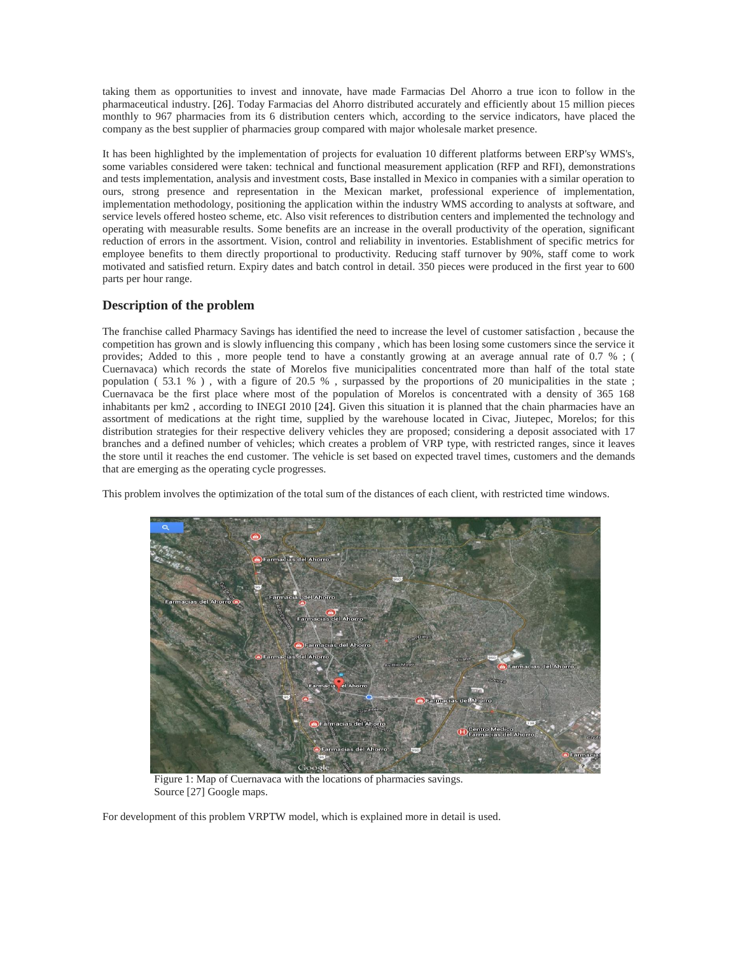taking them as opportunities to invest and innovate, have made Farmacias Del Ahorro a true icon to follow in the pharmaceutical industry. [26]. Today Farmacias del Ahorro distributed accurately and efficiently about 15 million pieces monthly to 967 pharmacies from its 6 distribution centers which, according to the service indicators, have placed the company as the best supplier of pharmacies group compared with major wholesale market presence.

It has been highlighted by the implementation of projects for evaluation 10 different platforms between ERP'sy WMS's, some variables considered were taken: technical and functional measurement application (RFP and RFI), demonstrations and tests implementation, analysis and investment costs, Base installed in Mexico in companies with a similar operation to ours, strong presence and representation in the Mexican market, professional experience of implementation, implementation methodology, positioning the application within the industry WMS according to analysts at software, and service levels offered hosteo scheme, etc. Also visit references to distribution centers and implemented the technology and operating with measurable results. Some benefits are an increase in the overall productivity of the operation, significant reduction of errors in the assortment. Vision, control and reliability in inventories. Establishment of specific metrics for employee benefits to them directly proportional to productivity. Reducing staff turnover by 90%, staff come to work motivated and satisfied return. Expiry dates and batch control in detail. 350 pieces were produced in the first year to 600 parts per hour range.

## **Description of the problem**

The franchise called Pharmacy Savings has identified the need to increase the level of customer satisfaction , because the competition has grown and is slowly influencing this company , which has been losing some customers since the service it provides; Added to this , more people tend to have a constantly growing at an average annual rate of 0.7 % ; ( Cuernavaca) which records the state of Morelos five municipalities concentrated more than half of the total state population ( 53.1 % ) , with a figure of 20.5 % , surpassed by the proportions of 20 municipalities in the state ; Cuernavaca be the first place where most of the population of Morelos is concentrated with a density of 365 168 inhabitants per km2 , according to INEGI 2010 [24]. Given this situation it is planned that the chain pharmacies have an assortment of medications at the right time, supplied by the warehouse located in Civac, Jiutepec, Morelos; for this distribution strategies for their respective delivery vehicles they are proposed; considering a deposit associated with 17 branches and a defined number of vehicles; which creates a problem of VRP type, with restricted ranges, since it leaves the store until it reaches the end customer. The vehicle is set based on expected travel times, customers and the demands that are emerging as the operating cycle progresses.

This problem involves the optimization of the total sum of the distances of each client, with restricted time windows.



 Figure 1: Map of Cuernavaca with the locations of pharmacies savings. Source [27] Google maps.

For development of this problem VRPTW model, which is explained more in detail is used.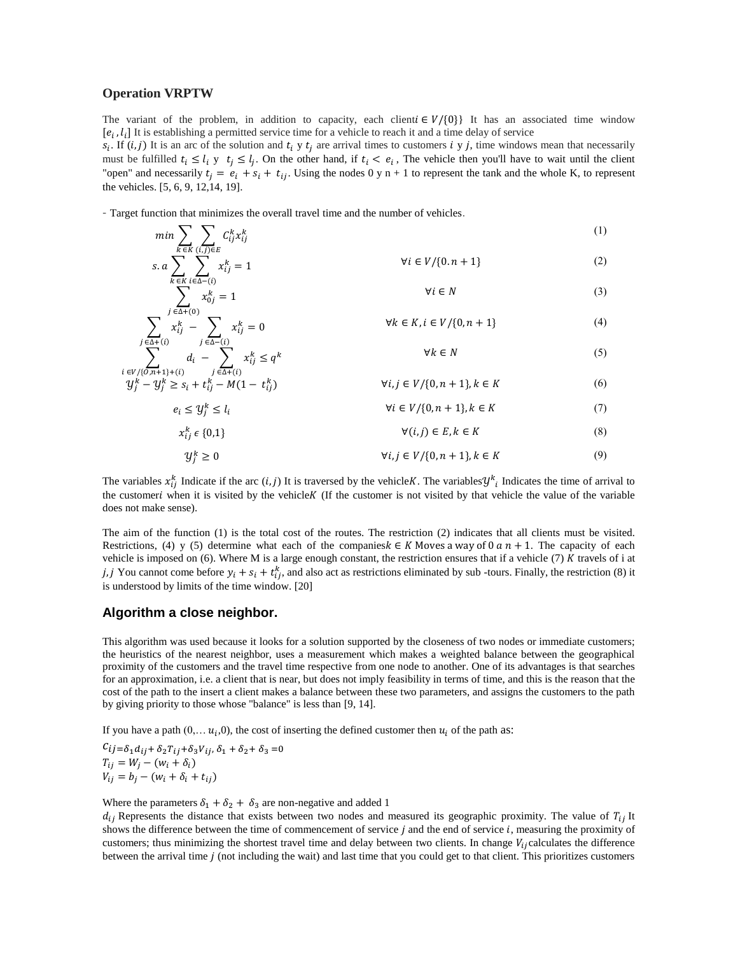#### **Operation VRPTW**

The variant of the problem, in addition to capacity, each client  $\mathcal{F}/\{0\}$  It has an associated time window  $[e_i, l_i]$  It is establishing a permitted service time for a vehicle to reach it and a time delay of service

 $s_i$ . If  $(i, j)$  It is an arc of the solution and  $t_i$  y  $t_j$  are arrival times to customers i y j, time windows mean that necessarily must be fulfilled  $t_i \leq l_i$  y  $t_i \leq l_i$ . On the other hand, if  $t_i < e_i$ , The vehicle then you'll have to wait until the client "open" and necessarily  $t_i = e_i + s_i + t_{ij}$ . Using the nodes 0 y n + 1 to represent the tank and the whole K, to represent the vehicles. [5, 6, 9, 12,14, 19].

- Target function that minimizes the overall travel time and the number of vehicles.

$$
\min \sum_{k \in K} \sum_{(i,j) \in E} C_{ij}^{k} x_{ij}^{k}
$$
\n
$$
\sum_{k \in K} \sum_{(i,j) \in E} C_{ij}^{k} x_{ij}^{k}
$$
\n
$$
\forall i \in V/(0, n+1)
$$
\n(2)

$$
s. a \sum_{k \in K} \sum_{i \in \Delta - \{i\}} x_{ij}^{k} = 1
$$
\n
$$
\sum_{j} x_{0j}^{k} = 1
$$
\n
$$
\forall i \in V / \{0.n+1\}
$$
\n
$$
\forall i \in N
$$
\n(2)\n
$$
\forall i \in N
$$

$$
\sum_{j \in \Delta + (i)} \sum_{k \in \Delta + (i)} x_{ij}^k - \sum_{j \in \Delta - (i)} x_{ij}^k = 0
$$
\n
$$
\forall k \in K, i \in V / \{0, n + 1\}
$$
\n(4)\n
$$
\forall k \in N
$$
\n(5)

$$
\sum_{\substack{i \in V/\{0, n+1\} + (i) \\ j \neq -1}} d_i - \sum_{j \in \Delta + (i)} x_{ij}^k \le q^k
$$
\n
$$
\forall k \in N
$$
\n
$$
\forall j, j \in V/\{0, n+1\}, k \in K
$$
\n(5)

$$
e_i \le y_j^k \le l_i \qquad \qquad \forall i \in V / \{0, n+1\}, k \in K \tag{7}
$$

$$
\forall (i,j) \in E, k \in K \tag{8}
$$

$$
\mathcal{Y}_j^k \ge 0 \qquad \qquad \forall i, j \in V / \{0, n+1\}, k \in K \tag{9}
$$

The variables  $x_{ij}^k$  Indicate if the arc  $(i, j)$  It is traversed by the vehicle K. The variables  $y_{ij}^k$  Indicates the time of arrival to the customeri when it is visited by the vehicle K (If the customer is not visited by that vehicle the value of the variable does not make sense).

The aim of the function (1) is the total cost of the routes. The restriction (2) indicates that all clients must be visited. Restrictions, (4) y (5) determine what each of the companies  $k \in K$  Moves a way of 0 a  $n + 1$ . The capacity of each vehicle is imposed on (6). Where M is a large enough constant, the restriction ensures that if a vehicle  $(7)$  K travels of i at j, j You cannot come before  $y_i + s_i + t_{ii}^k$ , and also act as restrictions eliminated by sub-tours. Finally, the restriction (8) it is understood by limits of the time window. [20]

### **Algorithm a close neighbor.**

 $x_{i}^{k}$ 

This algorithm was used because it looks for a solution supported by the closeness of two nodes or immediate customers; the heuristics of the nearest neighbor, uses a measurement which makes a weighted balance between the geographical proximity of the customers and the travel time respective from one node to another. One of its advantages is that searches for an approximation, i.e. a client that is near, but does not imply feasibility in terms of time, and this is the reason that the cost of the path to the insert a client makes a balance between these two parameters, and assigns the customers to the path by giving priority to those whose "balance" is less than [9, 14].

If you have a path  $(0, \ldots u_i, 0)$ , the cost of inserting the defined customer then  $u_i$  of the path as:

 $c_{ij=\delta_1 d_{ij} + \delta_2 T_{ij} + \delta_3 V_{ij}, \delta_1 + \delta_2 + \delta_3 = 0$  $T_{ij} = W_i - (w_i + \delta_i)$  $V_{ij} = b_i - (w_i + \delta_i + t_{ij})$ 

Where the parameters  $\delta_1 + \delta_2 + \delta_3$  are non-negative and added 1

 $d_{ij}$  Represents the distance that exists between two nodes and measured its geographic proximity. The value of  $T_{ij}$  It shows the difference between the time of commencement of service  $j$  and the end of service  $i$ , measuring the proximity of customers; thus minimizing the shortest travel time and delay between two clients. In change  $V_{ij}$  calculates the difference between the arrival time *j* (not including the wait) and last time that you could get to that client. This prioritizes customers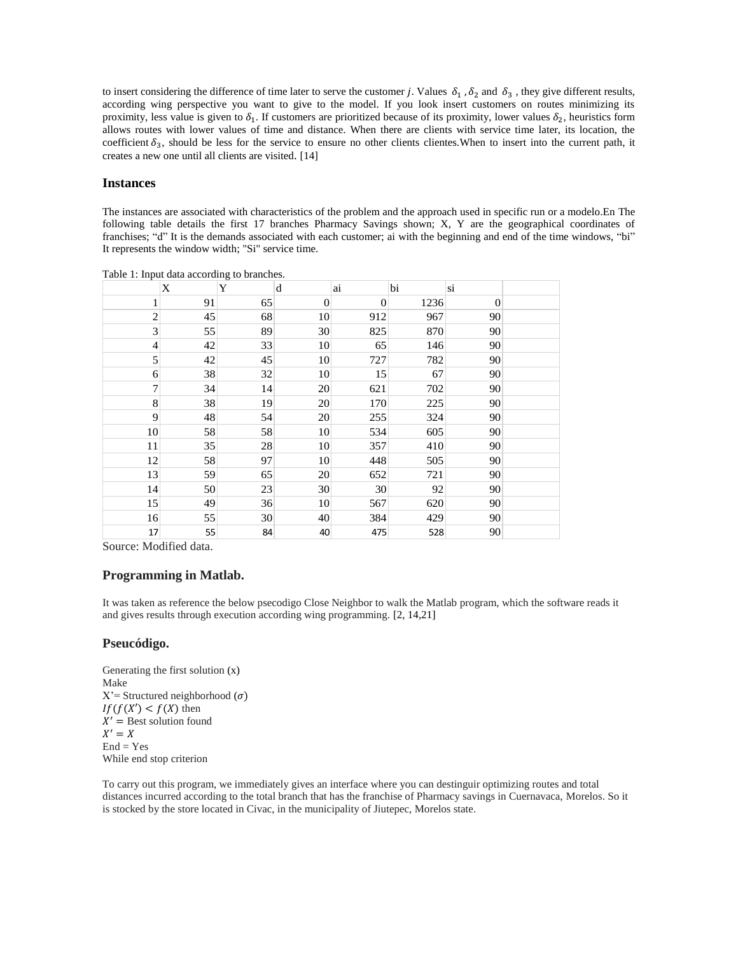to insert considering the difference of time later to serve the customer j. Values  $\delta_1$ ,  $\delta_2$  and  $\delta_3$ , they give different results, according wing perspective you want to give to the model. If you look insert customers on routes minimizing its proximity, less value is given to  $\delta_1$ . If customers are prioritized because of its proximity, lower values  $\delta_2$ , heuristics form allows routes with lower values of time and distance. When there are clients with service time later, its location, the coefficient  $\delta_3$ , should be less for the service to ensure no other clients clientes. When to insert into the current path, it creates a new one until all clients are visited. [14]

#### **Instances**

The instances are associated with characteristics of the problem and the approach used in specific run or a modelo.En The following table details the first 17 branches Pharmacy Savings shown; X, Y are the geographical coordinates of franchises; "d" It is the demands associated with each customer; ai with the beginning and end of the time windows, "bi" It represents the window width; "Si" service time.

|                             | X  | Y  | d                | ai               | bi   | si       |  |
|-----------------------------|----|----|------------------|------------------|------|----------|--|
| 1                           | 91 | 65 | $\boldsymbol{0}$ | $\boldsymbol{0}$ | 1236 | $\theta$ |  |
| $\sqrt{2}$                  | 45 | 68 | 10               | 912              | 967  | 90       |  |
| $\ensuremath{\mathfrak{Z}}$ | 55 | 89 | 30               | 825              | 870  | 90       |  |
| $\overline{4}$              | 42 | 33 | 10               | 65               | 146  | 90       |  |
| 5                           | 42 | 45 | 10               | 727              | 782  | 90       |  |
| 6                           | 38 | 32 | 10               | 15               | 67   | 90       |  |
| $\tau$                      | 34 | 14 | 20               | 621              | 702  | 90       |  |
| 8                           | 38 | 19 | 20               | 170              | 225  | 90       |  |
| 9                           | 48 | 54 | 20               | 255              | 324  | 90       |  |
| 10                          | 58 | 58 | 10               | 534              | 605  | 90       |  |
| 11                          | 35 | 28 | 10               | 357              | 410  | 90       |  |
| 12                          | 58 | 97 | 10               | 448              | 505  | 90       |  |
| 13                          | 59 | 65 | 20               | 652              | 721  | 90       |  |
| 14                          | 50 | 23 | 30               | 30               | 92   | 90       |  |
| 15                          | 49 | 36 | 10               | 567              | 620  | 90       |  |
| 16                          | 55 | 30 | 40               | 384              | 429  | 90       |  |
| 17                          | 55 | 84 | 40               | 475              | 528  | 90       |  |

Table 1: Input data according to branches.

Source: Modified data.

### **Programming in Matlab.**

It was taken as reference the below psecodigo Close Neighbor to walk the Matlab program, which the software reads it and gives results through execution according wing programming. [2, 14,21]

### **Pseucódigo.**

Generating the first solution (x) Make  $X'$ = Structured neighborhood  $(\sigma)$  $If (f(X') < f(X)$  then  $X' =$  Best solution found  $X'$  $End = Yes$ While end stop criterion

To carry out this program, we immediately gives an interface where you can destinguir optimizing routes and total distances incurred according to the total branch that has the franchise of Pharmacy savings in Cuernavaca, Morelos. So it is stocked by the store located in Civac, in the municipality of Jiutepec, Morelos state.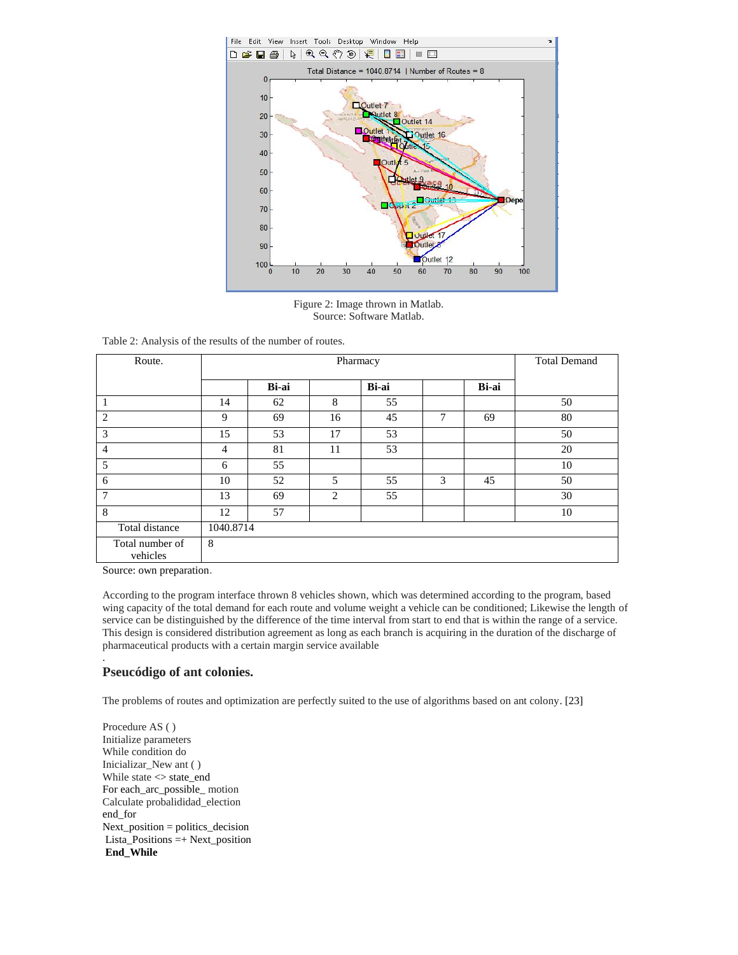

Figure 2: Image thrown in Matlab. Source: Software Matlab.

Table 2: Analysis of the results of the number of routes.

| Route.                      |           | Pharmacy |                |       |   |       | <b>Total Demand</b> |
|-----------------------------|-----------|----------|----------------|-------|---|-------|---------------------|
|                             |           | Bi-ai    |                | Bi-ai |   | Bi-ai |                     |
| 1                           | 14        | 62       | 8              | 55    |   |       | 50                  |
| $\overline{2}$              | 9         | 69       | 16             | 45    | 7 | 69    | 80                  |
| 3                           | 15        | 53       | 17             | 53    |   |       | 50                  |
| $\overline{4}$              | 4         | 81       | 11             | 53    |   |       | 20                  |
| 5                           | 6         | 55       |                |       |   |       | 10                  |
| 6                           | 10        | 52       | 5              | 55    | 3 | 45    | 50                  |
| $\overline{7}$              | 13        | 69       | $\overline{c}$ | 55    |   |       | 30                  |
| 8                           | 12        | 57       |                |       |   |       | 10                  |
| Total distance              | 1040.8714 |          |                |       |   |       |                     |
| Total number of<br>vehicles | 8         |          |                |       |   |       |                     |

Source: own preparation.

.

According to the program interface thrown 8 vehicles shown, which was determined according to the program, based wing capacity of the total demand for each route and volume weight a vehicle can be conditioned; Likewise the length of service can be distinguished by the difference of the time interval from start to end that is within the range of a service. This design is considered distribution agreement as long as each branch is acquiring in the duration of the discharge of pharmaceutical products with a certain margin service available

### **Pseucódigo of ant colonies.**

The problems of routes and optimization are perfectly suited to the use of algorithms based on ant colony. [23]

Procedure AS ( ) Initialize parameters While condition do Inicializar\_New ant ( ) While state  $\leq$  state\_end For each\_arc\_possible\_ motion Calculate probalididad\_election end\_for Next\_position = politics\_decision Lista\_Positions =+ Next\_position **End\_While**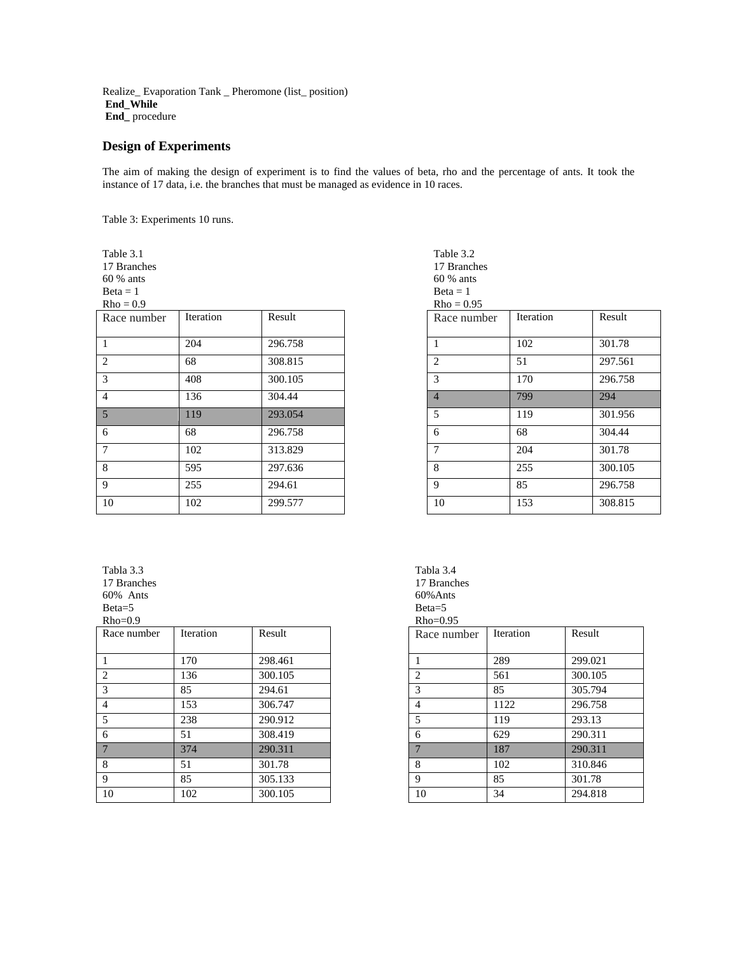Realize\_ Evaporation Tank \_ Pheromone (list\_ position) **End\_While End\_** procedure

## **Design of Experiments**

The aim of making the design of experiment is to find the values of beta, rho and the percentage of ants. It took the instance of 17 data, i.e. the branches that must be managed as evidence in 10 races.

Table 3: Experiments 10 runs.

Table 3.1 17 Branches

60 % ants

 $Beta = 1$ 

| $Rho = 0.9$     |           |         | $Rho = 0.95$   |           |         |
|-----------------|-----------|---------|----------------|-----------|---------|
| Race number     | Iteration | Result  | Race number    | Iteration | Result  |
| $\overline{1}$  | 204       | 296.758 |                | 102       | 301.78  |
| 2               | 68        | 308.815 | 2              | 51        | 297.561 |
| $\mathcal{Z}$   | 408       | 300.105 | 3              | 170       | 296.758 |
| $\overline{4}$  | 136       | 304.44  | $\overline{4}$ | 799       | 294     |
| $\overline{5}$  | 119       | 293.054 | 5              | 119       | 301.956 |
| -6              | 68        | 296.758 | 6              | 68        | 304.44  |
| $7\overline{ }$ | 102       | 313.829 | $\mathcal{I}$  | 204       | 301.78  |
| -8              | 595       | 297.636 | 8              | 255       | 300.105 |
| -9              | 255       | 294.61  | 9              | 85        | 296.758 |
| 10              | 102       | 299.577 | 10             | 153       | 308.815 |

| Table 3.2      |           |         |
|----------------|-----------|---------|
| 17 Branches    |           |         |
| 60 % ants      |           |         |
| $Beta = 1$     |           |         |
| $Rho = 0.95$   |           |         |
| Race number    | Iteration | Result  |
|                |           |         |
| 1              | 102       | 301.78  |
| 2              | 51        | 297.561 |
| 3              | 170       | 296.758 |
| $\overline{4}$ | 799       | 294     |
| 5              | 119       | 301.956 |
| 6              | 68        | 304.44  |
| 7              | 204       | 301.78  |
| 8              | 255       | 300.105 |
| 9              | 85        | 296.758 |
| 10             | 153       | 308.815 |

### Tabla 3.3 17 Branches

60% Ants

Beta=5  $Rho=0.9$ 

| $1 \times 10^{-6}$ |           |         | $1\text{M1}0 - 0.75$          |           |         |
|--------------------|-----------|---------|-------------------------------|-----------|---------|
| Race number        | Iteration | Result  | Race number                   | Iteration | Result  |
|                    | 170       | 298.461 |                               | 289       | 299.021 |
| 2                  | 136       | 300.105 | $\mathfrak{D}_{\mathfrak{p}}$ | 561       | 300.105 |
| $\mathcal{R}$      | 85        | 294.61  |                               | 85        | 305.794 |
| $\overline{4}$     | 153       | 306.747 |                               | 1122      | 296.758 |
|                    | 238       | 290.912 |                               | 119       | 293.13  |
| -6                 | 51        | 308.419 | 6                             | 629       | 290.311 |
|                    | 374       | 290.311 |                               | 187       | 290.311 |
| -8                 | 51        | 301.78  | 8                             | 102       | 310.846 |
| -9                 | 85        | 305.133 | 9                             | 85        | 301.78  |
| 10                 | 102       | 300.105 | 10                            | 34        | 294.818 |

| Tabla 3.4<br>17 Branches |
|--------------------------|
| $60\%$ Ants              |
| $Beta=5$                 |
| $Rho=0.95$               |
| Race number              |
|                          |

| 1990 119111001 |      |         |
|----------------|------|---------|
| 1              | 289  | 299.021 |
| $\overline{c}$ | 561  | 300.105 |
| 3              | 85   | 305.794 |
| 4              | 1122 | 296.758 |
| 5              | 119  | 293.13  |
| 6              | 629  | 290.311 |
| $\overline{7}$ | 187  | 290.311 |
| 8              | 102  | 310.846 |
| 9              | 85   | 301.78  |
| 10             | 34   | 294.818 |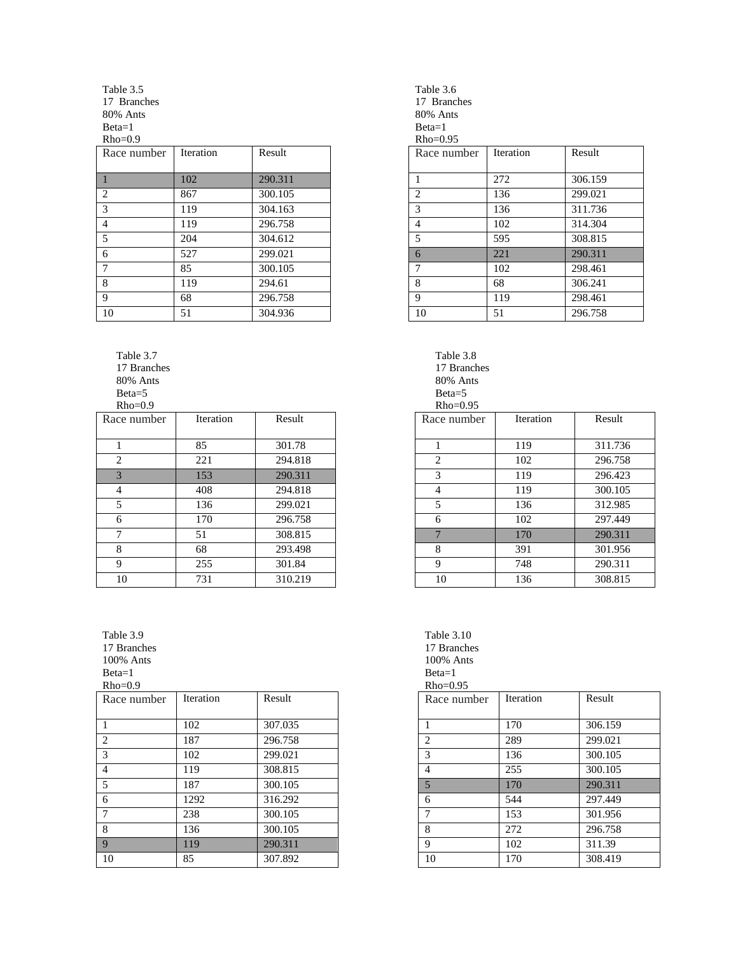Table 3.5 17 Branches 80% Ants Beta=1  $Rho=0.9$ 

| Race number    | Iteration | Result  | Race number | Iteration | Result  |
|----------------|-----------|---------|-------------|-----------|---------|
|                |           |         |             |           |         |
|                | 102       | 290.311 |             | 272       | 306.159 |
| 2              | 867       | 300.105 |             | 136       | 299.021 |
| 3              | 119       | 304.163 |             | 136       | 311.736 |
| $\overline{4}$ | 119       | 296.758 |             | 102       | 314.304 |
| 5              | 204       | 304.612 |             | 595       | 308.815 |
| 6              | 527       | 299.021 |             | 221       | 290.311 |
|                | 85        | 300.105 |             | 102       | 298.461 |
| 8              | 119       | 294.61  | 8           | 68        | 306.241 |
| 9              | 68        | 296.758 | Q           | 119       | 298.461 |
| 10             | 51        | 304.936 | 10          | 51        | 296.758 |

Table 3.7 17 Branches 80% Ants Beta=5

 $Rho=0.9$ 

| Race number | Iteration | Result  | Race number                   | Iteration | Result  |
|-------------|-----------|---------|-------------------------------|-----------|---------|
|             | 85        | 301.78  |                               | 119       | 311.736 |
| 2           | 221       | 294.818 | $\mathfrak{D}_{\mathfrak{p}}$ | 102       | 296.758 |
| 3           | 153       | 290.311 | $\mathcal{F}$                 | 119       | 296.423 |
| 4           | 408       | 294.818 | 4                             | 119       | 300.105 |
|             | 136       | 299.021 | 5                             | 136       | 312.985 |
| 6           | 170       | 296.758 | 6                             | 102       | 297.449 |
| ⇁           | 51        | 308.815 |                               | 170       | 290.311 |
| 8           | 68        | 293.498 | 8                             | 391       | 301.956 |
| 9           | 255       | 301.84  | 9                             | 748       | 290.311 |
| 10          | 731       | 310.219 | 10                            | 136       | 308.815 |

Table 3.9 17 Branches

100% Ants

Beta=1

 $Rho=0.9$ 

| Race number    | Iteration | Result  | Race number | Iteration | Result  |
|----------------|-----------|---------|-------------|-----------|---------|
|                |           |         |             |           |         |
|                | 102       | 307.035 |             | 170       | 306.159 |
| 2              | 187       | 296.758 |             | 289       | 299.021 |
| 3              | 102       | 299.021 |             | 136       | 300.105 |
| $\overline{4}$ | 119       | 308.815 |             | 255       | 300.105 |
| .5             | 187       | 300.105 |             | 170       | 290.311 |
| -6             | 1292      | 316.292 | 6           | 544       | 297.449 |
|                | 238       | 300.105 |             | 153       | 301.956 |
| 8              | 136       | 300.105 | 8           | 272       | 296.758 |
| 9              | 119       | 290.311 | 9           | 102       | 311.39  |
| 10             | 85        | 307.892 | 10          | 170       | 308.419 |

Table 3.6 17 Branches 80% Ants Beta=1

 $Rho=0.95$ 

| Race number    | Iteration | Result  |
|----------------|-----------|---------|
|                |           |         |
| 1              | 272       | 306.159 |
| $\overline{c}$ | 136       | 299.021 |
| 3              | 136       | 311.736 |
| 4              | 102       | 314.304 |
| 5              | 595       | 308.815 |
| 6              | 221       | 290.311 |
| 7              | 102       | 298.461 |
| 8              | 68        | 306.241 |
| 9              | 119       | 298.461 |
| 10             | 51        | 296.758 |

Table 3.8 17 Branches 80% Ants Beta=5 Rho=0.95

| Iteration | Result  |
|-----------|---------|
|           |         |
|           | 311.736 |
| 102       | 296.758 |
| 119       | 296.423 |
| 119       | 300.105 |
| 136       | 312.985 |
| 102       | 297.449 |
| 170       | 290.311 |
| 391       | 301.956 |
| 748       | 290.311 |
| 136       | 308.815 |
|           | 119     |

| Table 3.10<br>17 Branches<br>100% Ants<br>$Beta=1$<br>$Rho=0.95$ |                  |         |
|------------------------------------------------------------------|------------------|---------|
| Race number                                                      | <b>Iteration</b> | Result  |
| 1                                                                | 170              | 306.159 |
| 2                                                                | 289              | 299.021 |
| 3                                                                | 136              | 300.105 |
| $\overline{4}$                                                   | 255              | 300.105 |
| 5                                                                | 170              | 290.311 |
| 6                                                                | 544              | 297.449 |
| 7                                                                | 153              | 301.956 |
| 8                                                                | 272              | 296.758 |
| 9                                                                | 102              | 311.39  |
| 10                                                               | 170              | 308.419 |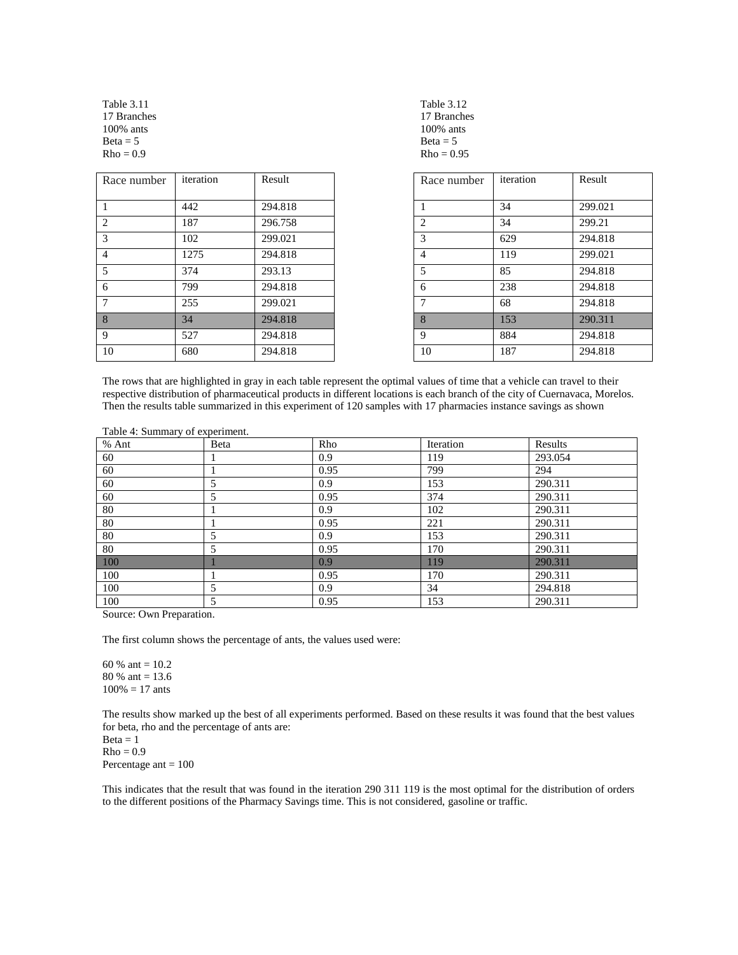Table 3.11 17 Branches 100% ants  $Beta = 5$  $Rho = 0.9$ 

| Race number    | iteration | Result  | Race number | iteration | Result  |
|----------------|-----------|---------|-------------|-----------|---------|
|                | 442       | 294.818 |             | 34        | 299.021 |
| 2              | 187       | 296.758 | 2           | 34        | 299.21  |
| 3              | 102       | 299.021 | 3           | 629       | 294.818 |
| $\overline{4}$ | 1275      | 294.818 | 4           | 119       | 299.021 |
| 5              | 374       | 293.13  | 5           | 85        | 294.818 |
| 6              | 799       | 294.818 | 6           | 238       | 294.818 |
| 7              | 255       | 299.021 |             | 68        | 294.818 |
| 8              | 34        | 294.818 | 8           | 153       | 290.311 |
| 9              | 527       | 294.818 | 9           | 884       | 294.818 |
| 10             | 680       | 294.818 | 10          | 187       | 294.818 |

| Table 3.12   |
|--------------|
| 17 Branches  |
| 100% ants    |
| $Beta = 5$   |
| $Rho = 0.95$ |

| Race number    | iteration | Result  |
|----------------|-----------|---------|
| 1              | 34        | 299.021 |
| $\overline{2}$ | 34        | 299.21  |
| 3              | 629       | 294.818 |
| $\overline{4}$ | 119       | 299.021 |
| 5              | 85        | 294.818 |
| 6              | 238       | 294.818 |
| $\overline{7}$ | 68        | 294.818 |
| 8              | 153       | 290.311 |
| 9              | 884       | 294.818 |
| 10             | 187       | 294.818 |

The rows that are highlighted in gray in each table represent the optimal values of time that a vehicle can travel to their respective distribution of pharmaceutical products in different locations is each branch of the city of Cuernavaca, Morelos. Then the results table summarized in this experiment of 120 samples with 17 pharmacies instance savings as shown

| $1000 - 7.$ Dammar $\gamma$ or experiment.<br>% Ant | Beta | Rho              | Iteration | Results |
|-----------------------------------------------------|------|------------------|-----------|---------|
| 60                                                  |      | 0.9              | 119       | 293.054 |
| 60                                                  |      | 0.95             | 799       | 294     |
| 60                                                  |      | 0.9              | 153       | 290.311 |
| 60                                                  | 5    | 0.95             | 374       | 290.311 |
| 80                                                  |      | 0.9              | 102       | 290.311 |
| 80                                                  |      | 0.95             | 221       | 290.311 |
| 80                                                  |      | 0.9              | 153       | 290.311 |
| 80                                                  | 5    | 0.95             | 170       | 290.311 |
| 100                                                 |      | 0.9              | 119       | 290.311 |
| 100                                                 |      | 0.95             | 170       | 290.311 |
| 100                                                 | 5    | 0.9 <sup>°</sup> | 34        | 294.818 |
| 100                                                 | 5    | 0.95             | 153       | 290.311 |

Table 4: Summary of experiment.

Source: Own Preparation.

The first column shows the percentage of ants, the values used were:

60 % ant =  $10.2$ 80 % ant = 13.6  $100\% = 17$  ants

The results show marked up the best of all experiments performed. Based on these results it was found that the best values for beta, rho and the percentage of ants are:

 $Beta = 1$  $Rho = 0.9$ Percentage ant = 100

This indicates that the result that was found in the iteration 290 311 119 is the most optimal for the distribution of orders to the different positions of the Pharmacy Savings time. This is not considered, gasoline or traffic.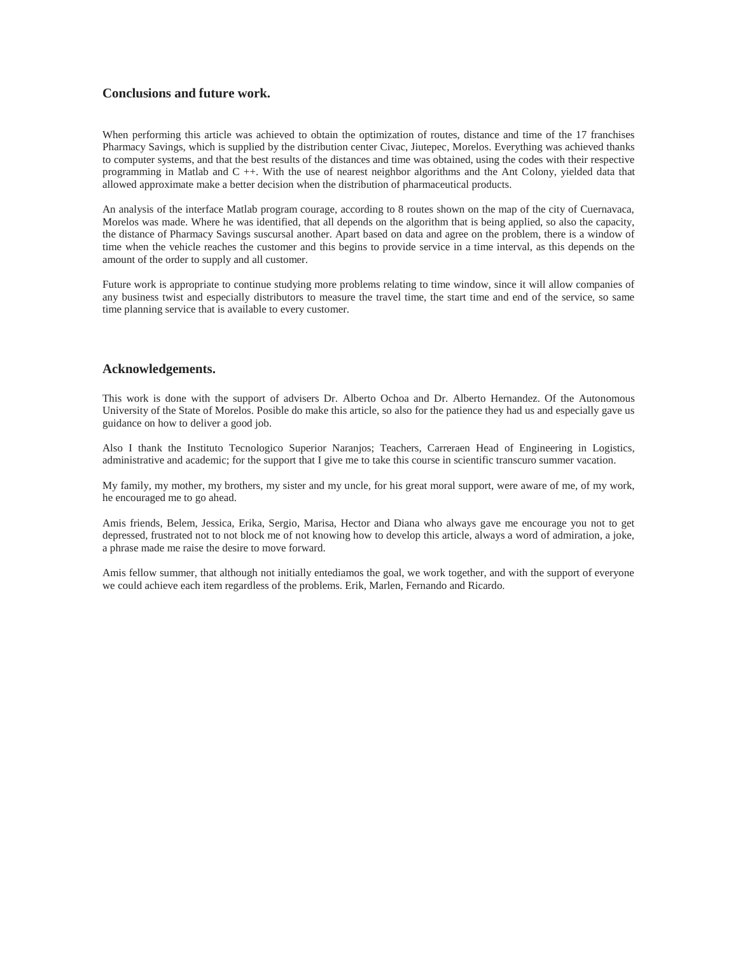# **Conclusions and future work.**

When performing this article was achieved to obtain the optimization of routes, distance and time of the 17 franchises Pharmacy Savings, which is supplied by the distribution center Civac, Jiutepec, Morelos. Everything was achieved thanks to computer systems, and that the best results of the distances and time was obtained, using the codes with their respective programming in Matlab and C ++. With the use of nearest neighbor algorithms and the Ant Colony, yielded data that allowed approximate make a better decision when the distribution of pharmaceutical products.

An analysis of the interface Matlab program courage, according to 8 routes shown on the map of the city of Cuernavaca, Morelos was made. Where he was identified, that all depends on the algorithm that is being applied, so also the capacity, the distance of Pharmacy Savings suscursal another. Apart based on data and agree on the problem, there is a window of time when the vehicle reaches the customer and this begins to provide service in a time interval, as this depends on the amount of the order to supply and all customer.

Future work is appropriate to continue studying more problems relating to time window, since it will allow companies of any business twist and especially distributors to measure the travel time, the start time and end of the service, so same time planning service that is available to every customer.

### **Acknowledgements.**

This work is done with the support of advisers Dr. Alberto Ochoa and Dr. Alberto Hernandez. Of the Autonomous University of the State of Morelos. Posible do make this article, so also for the patience they had us and especially gave us guidance on how to deliver a good job.

Also I thank the Instituto Tecnologico Superior Naranjos; Teachers, Carreraen Head of Engineering in Logistics, administrative and academic; for the support that I give me to take this course in scientific transcuro summer vacation.

My family, my mother, my brothers, my sister and my uncle, for his great moral support, were aware of me, of my work, he encouraged me to go ahead.

Amis friends, Belem, Jessica, Erika, Sergio, Marisa, Hector and Diana who always gave me encourage you not to get depressed, frustrated not to not block me of not knowing how to develop this article, always a word of admiration, a joke, a phrase made me raise the desire to move forward.

Amis fellow summer, that although not initially entediamos the goal, we work together, and with the support of everyone we could achieve each item regardless of the problems. Erik, Marlen, Fernando and Ricardo.